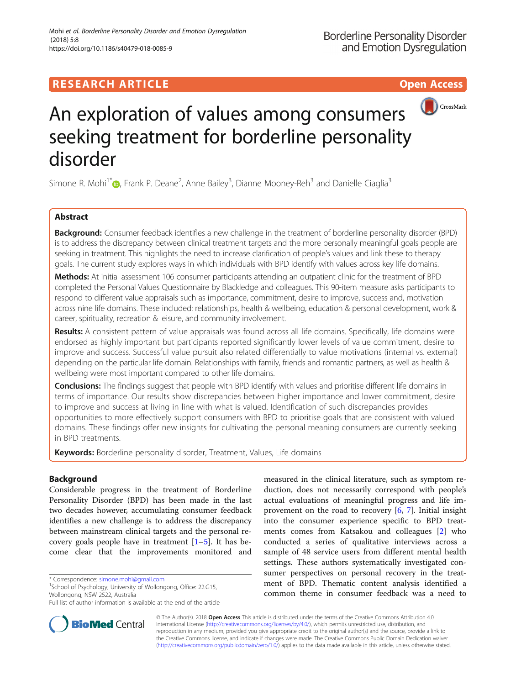# **RESEARCH ARTICLE Example 2018 12:30 THE OPEN ACCESS**



# An exploration of values among consumers seeking treatment for borderline personality disorder

Simone R. Mohi<sup>1\*</sup> , Frank P. Deane<sup>2</sup>, Anne Bailey<sup>3</sup>, Dianne Mooney-Reh<sup>3</sup> and Danielle Ciaglia<sup>3</sup>

# Abstract

Background: Consumer feedback identifies a new challenge in the treatment of borderline personality disorder (BPD) is to address the discrepancy between clinical treatment targets and the more personally meaningful goals people are seeking in treatment. This highlights the need to increase clarification of people's values and link these to therapy goals. The current study explores ways in which individuals with BPD identify with values across key life domains.

Methods: At initial assessment 106 consumer participants attending an outpatient clinic for the treatment of BPD completed the Personal Values Questionnaire by Blackledge and colleagues. This 90-item measure asks participants to respond to different value appraisals such as importance, commitment, desire to improve, success and, motivation across nine life domains. These included: relationships, health & wellbeing, education & personal development, work & career, spirituality, recreation & leisure, and community involvement.

Results: A consistent pattern of value appraisals was found across all life domains. Specifically, life domains were endorsed as highly important but participants reported significantly lower levels of value commitment, desire to improve and success. Successful value pursuit also related differentially to value motivations (internal vs. external) depending on the particular life domain. Relationships with family, friends and romantic partners, as well as health & wellbeing were most important compared to other life domains.

Conclusions: The findings suggest that people with BPD identify with values and prioritise different life domains in terms of importance. Our results show discrepancies between higher importance and lower commitment, desire to improve and success at living in line with what is valued. Identification of such discrepancies provides opportunities to more effectively support consumers with BPD to prioritise goals that are consistent with valued domains. These findings offer new insights for cultivating the personal meaning consumers are currently seeking in BPD treatments.

Keywords: Borderline personality disorder, Treatment, Values, Life domains

## Background

Considerable progress in the treatment of Borderline Personality Disorder (BPD) has been made in the last two decades however, accumulating consumer feedback identifies a new challenge is to address the discrepancy between mainstream clinical targets and the personal recovery goals people have in treatment  $[1-5]$  $[1-5]$  $[1-5]$  $[1-5]$ . It has become clear that the improvements monitored and

\* Correspondence: [simone.mohi@gmail.com](mailto:simone.mohi@gmail.com) <sup>1</sup>

<sup>1</sup>School of Psychology, University of Wollongong, Office: 22.G15, Wollongong, NSW 2522, Australia

measured in the clinical literature, such as symptom reduction, does not necessarily correspond with people's actual evaluations of meaningful progress and life improvement on the road to recovery  $[6, 7]$  $[6, 7]$  $[6, 7]$  $[6, 7]$  $[6, 7]$ . Initial insight into the consumer experience specific to BPD treatments comes from Katsakou and colleagues [\[2](#page-8-0)] who conducted a series of qualitative interviews across a sample of 48 service users from different mental health settings. These authors systematically investigated consumer perspectives on personal recovery in the treatment of BPD. Thematic content analysis identified a common theme in consumer feedback was a need to



© The Author(s). 2018 Open Access This article is distributed under the terms of the Creative Commons Attribution 4.0 International License [\(http://creativecommons.org/licenses/by/4.0/](http://creativecommons.org/licenses/by/4.0/)), which permits unrestricted use, distribution, and reproduction in any medium, provided you give appropriate credit to the original author(s) and the source, provide a link to the Creative Commons license, and indicate if changes were made. The Creative Commons Public Domain Dedication waiver [\(http://creativecommons.org/publicdomain/zero/1.0/](http://creativecommons.org/publicdomain/zero/1.0/)) applies to the data made available in this article, unless otherwise stated.

Full list of author information is available at the end of the article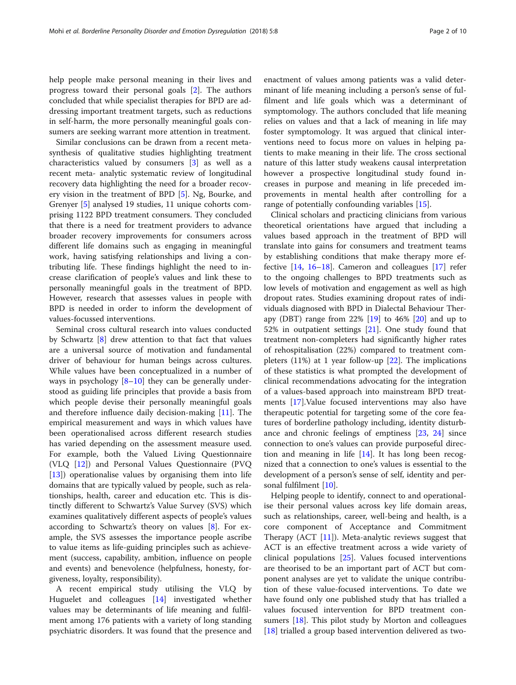help people make personal meaning in their lives and progress toward their personal goals [[2\]](#page-8-0). The authors concluded that while specialist therapies for BPD are addressing important treatment targets, such as reductions in self-harm, the more personally meaningful goals consumers are seeking warrant more attention in treatment.

Similar conclusions can be drawn from a recent metasynthesis of qualitative studies highlighting treatment characteristics valued by consumers [\[3](#page-8-0)] as well as a recent meta- analytic systematic review of longitudinal recovery data highlighting the need for a broader recovery vision in the treatment of BPD [[5\]](#page-8-0). Ng, Bourke, and Grenyer [\[5](#page-8-0)] analysed 19 studies, 11 unique cohorts comprising 1122 BPD treatment consumers. They concluded that there is a need for treatment providers to advance broader recovery improvements for consumers across different life domains such as engaging in meaningful work, having satisfying relationships and living a contributing life. These findings highlight the need to increase clarification of people's values and link these to personally meaningful goals in the treatment of BPD. However, research that assesses values in people with BPD is needed in order to inform the development of values-focussed interventions.

Seminal cross cultural research into values conducted by Schwartz [\[8](#page-8-0)] drew attention to that fact that values are a universal source of motivation and fundamental driver of behaviour for human beings across cultures. While values have been conceptualized in a number of ways in psychology  $[8-10]$  $[8-10]$  $[8-10]$  $[8-10]$  they can be generally understood as guiding life principles that provide a basis from which people devise their personally meaningful goals and therefore influence daily decision-making [\[11](#page-8-0)]. The empirical measurement and ways in which values have been operationalised across different research studies has varied depending on the assessment measure used. For example, both the Valued Living Questionnaire (VLQ [[12\]](#page-8-0)) and Personal Values Questionnaire (PVQ [[13\]](#page-8-0)) operationalise values by organising them into life domains that are typically valued by people, such as relationships, health, career and education etc. This is distinctly different to Schwartz's Value Survey (SVS) which examines qualitatively different aspects of people's values according to Schwartz's theory on values  $[8]$  $[8]$ . For example, the SVS assesses the importance people ascribe to value items as life-guiding principles such as achievement (success, capability, ambition, influence on people and events) and benevolence (helpfulness, honesty, forgiveness, loyalty, responsibility).

A recent empirical study utilising the VLQ by Huguelet and colleagues [\[14](#page-8-0)] investigated whether values may be determinants of life meaning and fulfilment among 176 patients with a variety of long standing psychiatric disorders. It was found that the presence and enactment of values among patients was a valid determinant of life meaning including a person's sense of fulfilment and life goals which was a determinant of symptomology. The authors concluded that life meaning relies on values and that a lack of meaning in life may foster symptomology. It was argued that clinical interventions need to focus more on values in helping patients to make meaning in their life. The cross sectional nature of this latter study weakens causal interpretation however a prospective longitudinal study found increases in purpose and meaning in life preceded improvements in mental health after controlling for a range of potentially confounding variables [\[15\]](#page-8-0).

Clinical scholars and practicing clinicians from various theoretical orientations have argued that including a values based approach in the treatment of BPD will translate into gains for consumers and treatment teams by establishing conditions that make therapy more effective [[14,](#page-8-0) [16](#page-8-0)–[18\]](#page-8-0). Cameron and colleagues [[17\]](#page-8-0) refer to the ongoing challenges to BPD treatments such as low levels of motivation and engagement as well as high dropout rates. Studies examining dropout rates of individuals diagnosed with BPD in Dialectal Behaviour Therapy (DBT) range from  $22\%$  [[19\]](#page-8-0) to  $46\%$  [[20\]](#page-8-0) and up to 52% in outpatient settings [[21\]](#page-8-0). One study found that treatment non-completers had significantly higher rates of rehospitalisation (22%) compared to treatment completers  $(11%)$  at 1 year follow-up  $[22]$  $[22]$  $[22]$ . The implications of these statistics is what prompted the development of clinical recommendations advocating for the integration of a values-based approach into mainstream BPD treatments [\[17\]](#page-8-0).Value focused interventions may also have therapeutic potential for targeting some of the core features of borderline pathology including, identity disturbance and chronic feelings of emptiness [[23,](#page-8-0) [24\]](#page-8-0) since connection to one's values can provide purposeful direction and meaning in life [\[14](#page-8-0)]. It has long been recognized that a connection to one's values is essential to the development of a person's sense of self, identity and personal fulfilment [[10\]](#page-8-0).

Helping people to identify, connect to and operationalise their personal values across key life domain areas, such as relationships, career, well-being and health, is a core component of Acceptance and Commitment Therapy (ACT  $[11]$  $[11]$ ). Meta-analytic reviews suggest that ACT is an effective treatment across a wide variety of clinical populations [\[25](#page-8-0)]. Values focused interventions are theorised to be an important part of ACT but component analyses are yet to validate the unique contribution of these value-focused interventions. To date we have found only one published study that has trialled a values focused intervention for BPD treatment con-sumers [[18\]](#page-8-0). This pilot study by Morton and colleagues [[18\]](#page-8-0) trialled a group based intervention delivered as two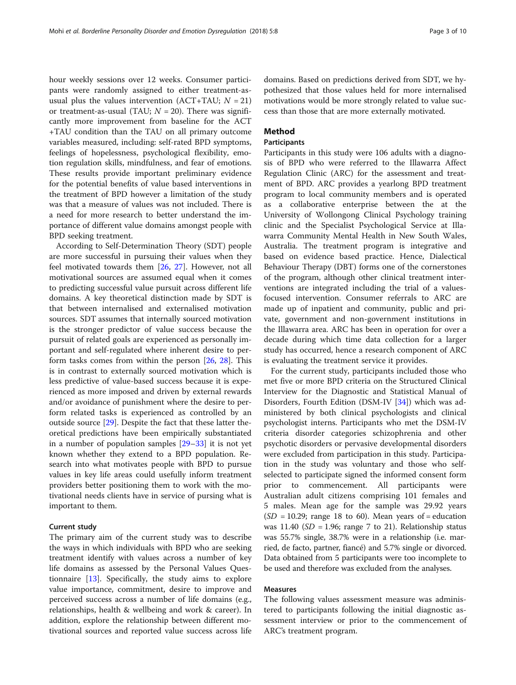hour weekly sessions over 12 weeks. Consumer participants were randomly assigned to either treatment-asusual plus the values intervention (ACT+TAU;  $N = 21$ ) or treatment-as-usual (TAU;  $N = 20$ ). There was significantly more improvement from baseline for the ACT +TAU condition than the TAU on all primary outcome variables measured, including: self-rated BPD symptoms, feelings of hopelessness, psychological flexibility, emotion regulation skills, mindfulness, and fear of emotions. These results provide important preliminary evidence for the potential benefits of value based interventions in the treatment of BPD however a limitation of the study was that a measure of values was not included. There is a need for more research to better understand the importance of different value domains amongst people with BPD seeking treatment.

According to Self-Determination Theory (SDT) people are more successful in pursuing their values when they feel motivated towards them [\[26,](#page-8-0) [27](#page-8-0)]. However, not all motivational sources are assumed equal when it comes to predicting successful value pursuit across different life domains. A key theoretical distinction made by SDT is that between internalised and externalised motivation sources. SDT assumes that internally sourced motivation is the stronger predictor of value success because the pursuit of related goals are experienced as personally important and self-regulated where inherent desire to perform tasks comes from within the person [[26,](#page-8-0) [28](#page-8-0)]. This is in contrast to externally sourced motivation which is less predictive of value-based success because it is experienced as more imposed and driven by external rewards and/or avoidance of punishment where the desire to perform related tasks is experienced as controlled by an outside source [[29\]](#page-8-0). Despite the fact that these latter theoretical predictions have been empirically substantiated in a number of population samples [[29](#page-8-0)–[33\]](#page-8-0) it is not yet known whether they extend to a BPD population. Research into what motivates people with BPD to pursue values in key life areas could usefully inform treatment providers better positioning them to work with the motivational needs clients have in service of pursing what is important to them.

## Current study

The primary aim of the current study was to describe the ways in which individuals with BPD who are seeking treatment identify with values across a number of key life domains as assessed by the Personal Values Questionnaire [\[13\]](#page-8-0). Specifically, the study aims to explore value importance, commitment, desire to improve and perceived success across a number of life domains (e.g., relationships, health & wellbeing and work & career). In addition, explore the relationship between different motivational sources and reported value success across life

domains. Based on predictions derived from SDT, we hypothesized that those values held for more internalised motivations would be more strongly related to value success than those that are more externally motivated.

# Method

## Participants

Participants in this study were 106 adults with a diagnosis of BPD who were referred to the Illawarra Affect Regulation Clinic (ARC) for the assessment and treatment of BPD. ARC provides a yearlong BPD treatment program to local community members and is operated as a collaborative enterprise between the at the University of Wollongong Clinical Psychology training clinic and the Specialist Psychological Service at Illawarra Community Mental Health in New South Wales, Australia. The treatment program is integrative and based on evidence based practice. Hence, Dialectical Behaviour Therapy (DBT) forms one of the cornerstones of the program, although other clinical treatment interventions are integrated including the trial of a valuesfocused intervention. Consumer referrals to ARC are made up of inpatient and community, public and private, government and non-government institutions in the Illawarra area. ARC has been in operation for over a decade during which time data collection for a larger study has occurred, hence a research component of ARC is evaluating the treatment service it provides.

For the current study, participants included those who met five or more BPD criteria on the Structured Clinical Interview for the Diagnostic and Statistical Manual of Disorders, Fourth Edition (DSM-IV [[34\]](#page-9-0)) which was administered by both clinical psychologists and clinical psychologist interns. Participants who met the DSM-IV criteria disorder categories schizophrenia and other psychotic disorders or pervasive developmental disorders were excluded from participation in this study. Participation in the study was voluntary and those who selfselected to participate signed the informed consent form prior to commencement. All participants were Australian adult citizens comprising 101 females and 5 males. Mean age for the sample was 29.92 years  $(SD = 10.29;$  range 18 to 60). Mean years of = education was  $11.40$  (*SD* = 1.96; range 7 to 21). Relationship status was 55.7% single, 38.7% were in a relationship (i.e. married, de facto, partner, fiancé) and 5.7% single or divorced. Data obtained from 5 participants were too incomplete to be used and therefore was excluded from the analyses.

## Measures

The following values assessment measure was administered to participants following the initial diagnostic assessment interview or prior to the commencement of ARC's treatment program.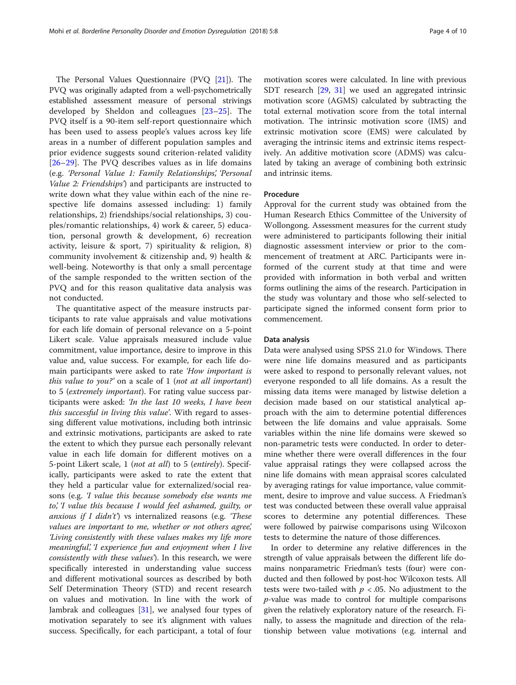The Personal Values Questionnaire (PVQ [\[21\]](#page-8-0)). The PVQ was originally adapted from a well-psychometrically established assessment measure of personal strivings developed by Sheldon and colleagues [\[23](#page-8-0)–[25](#page-8-0)]. The PVQ itself is a 90-item self-report questionnaire which has been used to assess people's values across key life areas in a number of different population samples and prior evidence suggests sound criterion-related validity [[26](#page-8-0)–[29\]](#page-8-0). The PVQ describes values as in life domains (e.g. 'Personal Value 1: Family Relationships', 'Personal Value 2: Friendships') and participants are instructed to write down what they value within each of the nine respective life domains assessed including: 1) family relationships, 2) friendships/social relationships, 3) couples/romantic relationships, 4) work & career, 5) education, personal growth & development, 6) recreation activity, leisure & sport, 7) spirituality & religion, 8) community involvement & citizenship and, 9) health & well-being. Noteworthy is that only a small percentage of the sample responded to the written section of the PVQ and for this reason qualitative data analysis was not conducted.

The quantitative aspect of the measure instructs participants to rate value appraisals and value motivations for each life domain of personal relevance on a 5-point Likert scale. Value appraisals measured include value commitment, value importance, desire to improve in this value and, value success. For example, for each life domain participants were asked to rate 'How important is this value to you?' on a scale of  $1$  (not at all important) to 5 (extremely important). For rating value success participants were asked: 'In the last 10 weeks, I have been this successful in living this value'. With regard to assessing different value motivations, including both intrinsic and extrinsic motivations, participants are asked to rate the extent to which they pursue each personally relevant value in each life domain for different motives on a 5-point Likert scale, 1 (not at all) to 5 (entirely). Specifically, participants were asked to rate the extent that they held a particular value for externalized/social reasons (e.g. 'I value this because somebody else wants me to', 'I value this because I would feel ashamed, guilty, or anxious if  $I$  didn't') vs internalized reasons (e.g. 'These values are important to me, whether or not others agree', 'Living consistently with these values makes my life more meaningful', 'I experience fun and enjoyment when I live consistently with these values'). In this research, we were specifically interested in understanding value success and different motivational sources as described by both Self Determination Theory (STD) and recent research on values and motivation. In line with the work of Jambrak and colleagues [[31\]](#page-8-0), we analysed four types of motivation separately to see it's alignment with values success. Specifically, for each participant, a total of four

motivation scores were calculated. In line with previous SDT research [[29](#page-8-0), [31\]](#page-8-0) we used an aggregated intrinsic motivation score (AGMS) calculated by subtracting the total external motivation score from the total internal motivation. The intrinsic motivation score (IMS) and extrinsic motivation score (EMS) were calculated by averaging the intrinsic items and extrinsic items respectively. An additive motivation score (ADMS) was calculated by taking an average of combining both extrinsic and intrinsic items.

## Procedure

Approval for the current study was obtained from the Human Research Ethics Committee of the University of Wollongong. Assessment measures for the current study were administered to participants following their initial diagnostic assessment interview or prior to the commencement of treatment at ARC. Participants were informed of the current study at that time and were provided with information in both verbal and written forms outlining the aims of the research. Participation in the study was voluntary and those who self-selected to participate signed the informed consent form prior to commencement.

## Data analysis

Data were analysed using SPSS 21.0 for Windows. There were nine life domains measured and as participants were asked to respond to personally relevant values, not everyone responded to all life domains. As a result the missing data items were managed by listwise deletion a decision made based on our statistical analytical approach with the aim to determine potential differences between the life domains and value appraisals. Some variables within the nine life domains were skewed so non-parametric tests were conducted. In order to determine whether there were overall differences in the four value appraisal ratings they were collapsed across the nine life domains with mean appraisal scores calculated by averaging ratings for value importance, value commitment, desire to improve and value success. A Friedman's test was conducted between these overall value appraisal scores to determine any potential differences. These were followed by pairwise comparisons using Wilcoxon tests to determine the nature of those differences.

In order to determine any relative differences in the strength of value appraisals between the different life domains nonparametric Friedman's tests (four) were conducted and then followed by post-hoc Wilcoxon tests. All tests were two-tailed with  $p < .05$ . No adjustment to the p-value was made to control for multiple comparisons given the relatively exploratory nature of the research. Finally, to assess the magnitude and direction of the relationship between value motivations (e.g. internal and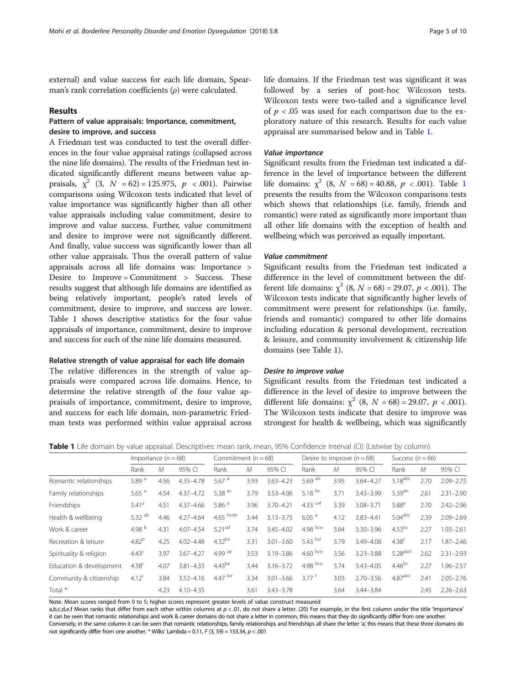<span id="page-4-0"></span>external) and value success for each life domain, Spearman's rank correlation coefficients (ρ) were calculated.

## Results

## Pattern of value appraisals: Importance, commitment, desire to improve, and success

A Friedman test was conducted to test the overall differences in the four value appraisal ratings (collapsed across the nine life domains). The results of the Friedman test indicated significantly different means between value appraisals,  $\chi^2$  (3,  $N = 62$ ) = 125.975,  $p \lt 0.001$ ). Pairwise comparisons using Wilcoxon tests indicated that level of value importance was significantly higher than all other value appraisals including value commitment, desire to improve and value success. Further, value commitment and desire to improve were not significantly different. And finally, value success was significantly lower than all other value appraisals. Thus the overall pattern of value appraisals across all life domains was: Importance > Desire to Improve = Commitment > Success. These results suggest that although life domains are identified as being relatively important, people's rated levels of commitment, desire to improve, and success are lower. Table 1 shows descriptive statistics for the four value appraisals of importance, commitment, desire to improve and success for each of the nine life domains measured.

## Relative strength of value appraisal for each life domain

The relative differences in the strength of value appraisals were compared across life domains. Hence, to determine the relative strength of the four value appraisals of importance, commitment, desire to improve, and success for each life domain, non-parametric Friedman tests was performed within value appraisal across life domains. If the Friedman test was significant it was followed by a series of post-hoc Wilcoxon tests. Wilcoxon tests were two-tailed and a significance level of  $p < 0.05$  was used for each comparison due to the exploratory nature of this research. Results for each value appraisal are summarised below and in Table 1.

## Value importance

Significant results from the Friedman test indicated a difference in the level of importance between the different life domains:  $\chi^2$  (8, N = 68) = 40.88, p < .001). Table 1 presents the results from the Wilcoxon comparisons tests which shows that relationships (i.e. family, friends and romantic) were rated as significantly more important than all other life domains with the exception of health and wellbeing which was perceived as equally important.

### Value commitment

Significant results from the Friedman test indicated a difference in the level of commitment between the different life domains:  $\chi^2$  (8, N = 68) = 29.07, p < .001). The Wilcoxon tests indicate that significantly higher levels of commitment were present for relationships (i.e. family, friends and romantic) compared to other life domains including education & personal development, recreation & leisure, and community involvement & citizenship life domains (see Table 1).

## Desire to improve value

Significant results from the Friedman test indicated a difference in the level of desire to improve between the different life domains:  $\chi^2$  (8, N = 68) = 29.07, p < .001). The Wilcoxon tests indicate that desire to improve was strongest for health & wellbeing, which was significantly

Table 1 Life domain by value appraisal. Descriptives: mean rank, mean, 95% Confidence Interval (CI) (Listwise by column)

|                         | Importance $(n = 68)$ |      |               | Commitment ( $n = 68$ ) |      |               | Desire to improve $(n = 68)$ |      |               | Success $(n = 66)$    |      |               |
|-------------------------|-----------------------|------|---------------|-------------------------|------|---------------|------------------------------|------|---------------|-----------------------|------|---------------|
|                         | Rank                  | М    | 95% CI        | Rank                    | M    | 95% CI        | Rank                         | M    | 95% CI        | Rank                  | М    | 95% CI        |
| Romantic relationships  | 5.89 $a$              | 4.56 | $4.35 - 4.78$ | $5.67$ <sup>a</sup>     | 3.93 | $3.63 - 4.23$ | 5.69 $^{ab}$                 | 3.95 | $3.64 - 4.27$ | $5.18$ <sup>abc</sup> | 2.70 | $2.09 - 2.75$ |
| Family relationships    | 5.65 <sup>a</sup>     | 4.54 | $4.37 - 4.72$ | $5.38$ <sup>ac</sup>    | 3.79 | $3.53 - 4.06$ | 5.18 $bc$                    | 3.71 | $3.43 - 3.99$ | 5.39 <sup>ab</sup>    | 2.61 | $2.31 - 2.90$ |
| Friendships             | 5.41 <sup>a</sup>     | 4.51 | $4.37 - 4.66$ | 5.86 $a$                | 3.96 | $3.70 - 4.21$ | $4.33$ <sup>cef</sup>        | 3.39 | $3.08 - 3.71$ | 5.88 <sup>a</sup>     | 2.70 | $2.42 - 2.96$ |
| Health & wellbeing      | $5.32$ <sup>ab</sup>  | 4.46 | $4.27 - 4.64$ | $4.65$ bcde             | 3.44 | $3.13 - 3.75$ | 6.05 <sup>a</sup>            | 4.12 | $3.83 - 4.41$ | $5.04$ <sup>abc</sup> | 2.39 | $2.09 - 2.69$ |
| Work & career           | 4.98 $^{\rm b}$       | 4.31 | $4.07 - 4.54$ | 5.21 <sup>ad</sup>      | 3.74 | $3.45 - 4.02$ | $4.98$ bce                   | 3.64 | $3.30 - 3.96$ | $4.53^{bc}$           | 2.27 | 1.93-2.61     |
| Recreation & leisure    | $4.82^{b}$            | 4.25 | $4.02 - 4.48$ | $4.32^{be}$             | 3.31 | $3.01 - 3.60$ | $5.43$ bd                    | 3.79 | $3.49 - 4.08$ | 4.38 <sup>c</sup>     | 2.17 | $1.87 - 2.46$ |
| Spirituality & religion | 4.43 <sup>c</sup>     | 3.97 | $3.67 - 4.27$ | 4.99 $e$ <sup>ae</sup>  | 3.53 | 3.19 - 3.86   | $4.60$ bce                   | 3.56 | 3.23-3.88     | $5.28$ <sup>abd</sup> | 2.62 | $2.31 - 2.93$ |
| Education & development | 4.38 <sup>c</sup>     | 4.07 | $3.81 - 4.33$ | 4.43 <sup>be</sup>      | 3.44 | $3.16 - 3.72$ | $4.98$ bce                   | 3.74 | $3.43 - 4.05$ | $4.46^{bc}$           | 2.27 | 1.96-2.57     |
| Community & citizenship | $4.12^c$              | 3.84 | $3.52 - 4.16$ | $4.47$ be               | 3.34 | $3.01 - 3.66$ | $3.77$ <sup>f</sup>          | 3.03 | $2.70 - 3.56$ | $4.87$ <sup>abc</sup> | 2.41 | $2.05 - 2.76$ |
| Total *                 |                       | 4.23 | $4.10 - 4.35$ |                         | 3.61 | $3.43 - 3.78$ |                              | 3.64 | $3.44 - 3.84$ |                       | 2.45 | $2.26 - 2.63$ |

Note. Mean scores ranged from 0 to 5; higher scores represent greater levels of value construct measured

a,b,c,d,e,f Mean ranks that differ from each other within columns at  $p < .01$ , do not share a letter. (20) For example, in the first column under the title 'Importance' it can be seen that romantic relationships and work & career domains do not share a letter in common, this means that they do significantly differ from one another. Conversely, in the same column it can be seen that romantic relationships, family relationships and friendships all share the letter 'a', this means that these three domains do not significantly differ from one another. \* Wilks' Lambda = 0.11,  $F$  (3, 59) = 153.34,  $p$  < .001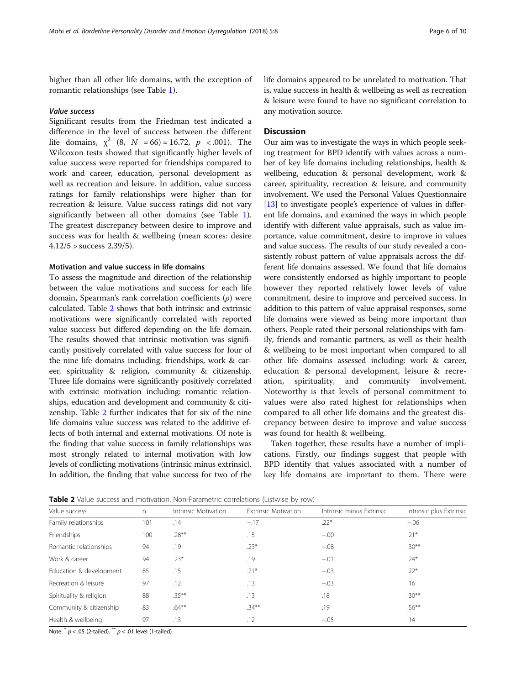higher than all other life domains, with the exception of romantic relationships (see Table [1\)](#page-4-0).

## Value success

Significant results from the Friedman test indicated a difference in the level of success between the different life domains,  $\chi^2$  (8, N = 66) = 16.72, p < .001). The Wilcoxon tests showed that significantly higher levels of value success were reported for friendships compared to work and career, education, personal development as well as recreation and leisure. In addition, value success ratings for family relationships were higher than for recreation & leisure. Value success ratings did not vary significantly between all other domains (see Table [1](#page-4-0)). The greatest discrepancy between desire to improve and success was for health & wellbeing (mean scores: desire  $4.12/5$  > success 2.39/5).

### Motivation and value success in life domains

To assess the magnitude and direction of the relationship between the value motivations and success for each life domain, Spearman's rank correlation coefficients (ρ) were calculated. Table 2 shows that both intrinsic and extrinsic motivations were significantly correlated with reported value success but differed depending on the life domain. The results showed that intrinsic motivation was significantly positively correlated with value success for four of the nine life domains including: friendships, work & career, spirituality & religion, community & citizenship. Three life domains were significantly positively correlated with extrinsic motivation including: romantic relationships, education and development and community & citizenship. Table 2 further indicates that for six of the nine life domains value success was related to the additive effects of both internal and external motivations. Of note is the finding that value success in family relationships was most strongly related to internal motivation with low levels of conflicting motivations (intrinsic minus extrinsic). In addition, the finding that value success for two of the life domains appeared to be unrelated to motivation. That is, value success in health & wellbeing as well as recreation & leisure were found to have no significant correlation to any motivation source.

## **Discussion**

Our aim was to investigate the ways in which people seeking treatment for BPD identify with values across a number of key life domains including relationships, health & wellbeing, education & personal development, work & career, spirituality, recreation & leisure, and community involvement. We used the Personal Values Questionnaire [[13](#page-8-0)] to investigate people's experience of values in different life domains, and examined the ways in which people identify with different value appraisals, such as value importance, value commitment, desire to improve in values and value success. The results of our study revealed a consistently robust pattern of value appraisals across the different life domains assessed. We found that life domains were consistently endorsed as highly important to people however they reported relatively lower levels of value commitment, desire to improve and perceived success. In addition to this pattern of value appraisal responses, some life domains were viewed as being more important than others. People rated their personal relationships with family, friends and romantic partners, as well as their health & wellbeing to be most important when compared to all other life domains assessed including: work & career, education & personal development, leisure & recreation, spirituality, and community involvement. Noteworthy is that levels of personal commitment to values were also rated highest for relationships when compared to all other life domains and the greatest discrepancy between desire to improve and value success was found for health & wellbeing.

Taken together, these results have a number of implications. Firstly, our findings suggest that people with BPD identify that values associated with a number of key life domains are important to them. There were

Value success n Intrinsic Motivation Extrinsic Motivation Intrinsic minus Extrinsic Intrinsic plus Extrinsic Family relationships 101 .14 -.17 .22\* .22\* −.06 Friendships 100 .28\*\* .15 −.00 .21\* Romantic relationships 94 .19 .19 .23\* -.08 .30\*\* Work & career 94 .23\* .19 −.01 .24\* Education & development  $85$  .15 .22\*  $21*$   $-03$   $-03$  .22\* Recreation & leisure 97 .12 .13 .13 −.03 .16 Spirituality & religion and  $35**$  .13 .18 .18 .18 .30\*\* Community & citizenship 83 .64\*\* .34\*\* .19 .56\*\* Health & wellbeing 97 .13 .12 -05 -05 .14

**Table 2** Value success and motivation. Non-Parametric correlations (Listwise by row)

Note:  $p < .05$  (2-tailed).  $p < .01$  level (1-tailed)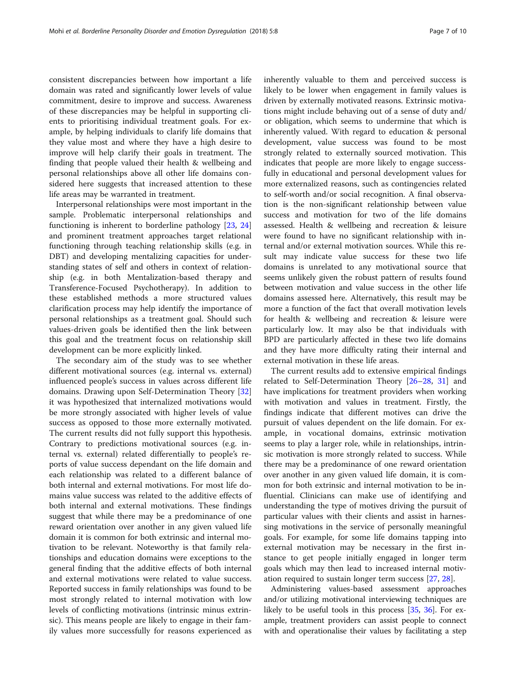consistent discrepancies between how important a life domain was rated and significantly lower levels of value commitment, desire to improve and success. Awareness of these discrepancies may be helpful in supporting clients to prioritising individual treatment goals. For example, by helping individuals to clarify life domains that they value most and where they have a high desire to improve will help clarify their goals in treatment. The finding that people valued their health & wellbeing and personal relationships above all other life domains considered here suggests that increased attention to these life areas may be warranted in treatment.

Interpersonal relationships were most important in the sample. Problematic interpersonal relationships and functioning is inherent to borderline pathology [[23](#page-8-0), [24](#page-8-0)] and prominent treatment approaches target relational functioning through teaching relationship skills (e.g. in DBT) and developing mentalizing capacities for understanding states of self and others in context of relationship (e.g. in both Mentalization-based therapy and Transference-Focused Psychotherapy). In addition to these established methods a more structured values clarification process may help identify the importance of personal relationships as a treatment goal. Should such values-driven goals be identified then the link between this goal and the treatment focus on relationship skill development can be more explicitly linked.

The secondary aim of the study was to see whether different motivational sources (e.g. internal vs. external) influenced people's success in values across different life domains. Drawing upon Self-Determination Theory [[32](#page-8-0)] it was hypothesized that internalized motivations would be more strongly associated with higher levels of value success as opposed to those more externally motivated. The current results did not fully support this hypothesis. Contrary to predictions motivational sources (e.g. internal vs. external) related differentially to people's reports of value success dependant on the life domain and each relationship was related to a different balance of both internal and external motivations. For most life domains value success was related to the additive effects of both internal and external motivations. These findings suggest that while there may be a predominance of one reward orientation over another in any given valued life domain it is common for both extrinsic and internal motivation to be relevant. Noteworthy is that family relationships and education domains were exceptions to the general finding that the additive effects of both internal and external motivations were related to value success. Reported success in family relationships was found to be most strongly related to internal motivation with low levels of conflicting motivations (intrinsic minus extrinsic). This means people are likely to engage in their family values more successfully for reasons experienced as inherently valuable to them and perceived success is likely to be lower when engagement in family values is driven by externally motivated reasons. Extrinsic motivations might include behaving out of a sense of duty and/ or obligation, which seems to undermine that which is inherently valued. With regard to education & personal development, value success was found to be most strongly related to externally sourced motivation. This indicates that people are more likely to engage successfully in educational and personal development values for more externalized reasons, such as contingencies related to self-worth and/or social recognition. A final observation is the non-significant relationship between value success and motivation for two of the life domains assessed. Health & wellbeing and recreation & leisure were found to have no significant relationship with internal and/or external motivation sources. While this result may indicate value success for these two life domains is unrelated to any motivational source that seems unlikely given the robust pattern of results found between motivation and value success in the other life domains assessed here. Alternatively, this result may be more a function of the fact that overall motivation levels for health & wellbeing and recreation & leisure were particularly low. It may also be that individuals with BPD are particularly affected in these two life domains and they have more difficulty rating their internal and external motivation in these life areas.

The current results add to extensive empirical findings related to Self-Determination Theory [\[26](#page-8-0)–[28,](#page-8-0) [31](#page-8-0)] and have implications for treatment providers when working with motivation and values in treatment. Firstly, the findings indicate that different motives can drive the pursuit of values dependent on the life domain. For example, in vocational domains, extrinsic motivation seems to play a larger role, while in relationships, intrinsic motivation is more strongly related to success. While there may be a predominance of one reward orientation over another in any given valued life domain, it is common for both extrinsic and internal motivation to be influential. Clinicians can make use of identifying and understanding the type of motives driving the pursuit of particular values with their clients and assist in harnessing motivations in the service of personally meaningful goals. For example, for some life domains tapping into external motivation may be necessary in the first instance to get people initially engaged in longer term goals which may then lead to increased internal motivation required to sustain longer term success [\[27](#page-8-0), [28](#page-8-0)].

Administering values-based assessment approaches and/or utilizing motivational interviewing techniques are likely to be useful tools in this process [[35](#page-9-0), [36](#page-9-0)]. For example, treatment providers can assist people to connect with and operationalise their values by facilitating a step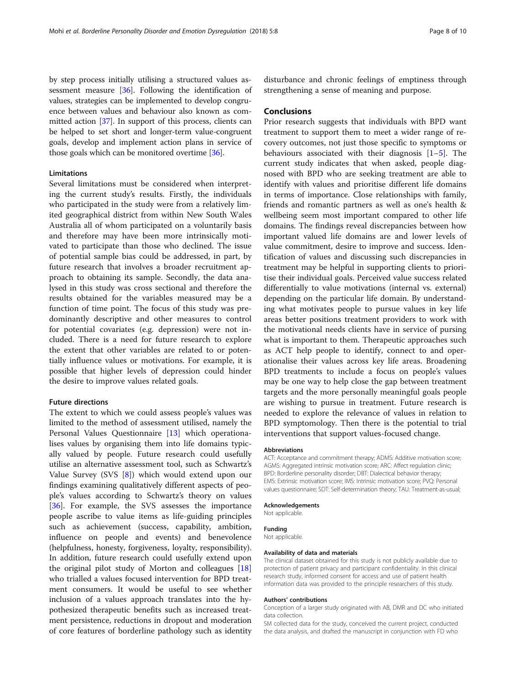by step process initially utilising a structured values assessment measure [[36\]](#page-9-0). Following the identification of values, strategies can be implemented to develop congruence between values and behaviour also known as committed action [[37](#page-9-0)]. In support of this process, clients can be helped to set short and longer-term value-congruent goals, develop and implement action plans in service of those goals which can be monitored overtime [\[36\]](#page-9-0).

## Limitations

Several limitations must be considered when interpreting the current study's results. Firstly, the individuals who participated in the study were from a relatively limited geographical district from within New South Wales Australia all of whom participated on a voluntarily basis and therefore may have been more intrinsically motivated to participate than those who declined. The issue of potential sample bias could be addressed, in part, by future research that involves a broader recruitment approach to obtaining its sample. Secondly, the data analysed in this study was cross sectional and therefore the results obtained for the variables measured may be a function of time point. The focus of this study was predominantly descriptive and other measures to control for potential covariates (e.g. depression) were not included. There is a need for future research to explore the extent that other variables are related to or potentially influence values or motivations. For example, it is possible that higher levels of depression could hinder the desire to improve values related goals.

## Future directions

The extent to which we could assess people's values was limited to the method of assessment utilised, namely the Personal Values Questionnaire [\[13](#page-8-0)] which operationalises values by organising them into life domains typically valued by people. Future research could usefully utilise an alternative assessment tool, such as Schwartz's Value Survey (SVS [\[8\]](#page-8-0)) which would extend upon our findings examining qualitatively different aspects of people's values according to Schwartz's theory on values [[36\]](#page-9-0). For example, the SVS assesses the importance people ascribe to value items as life-guiding principles such as achievement (success, capability, ambition, influence on people and events) and benevolence (helpfulness, honesty, forgiveness, loyalty, responsibility). In addition, future research could usefully extend upon the original pilot study of Morton and colleagues [[18](#page-8-0)] who trialled a values focused intervention for BPD treatment consumers. It would be useful to see whether inclusion of a values approach translates into the hypothesized therapeutic benefits such as increased treatment persistence, reductions in dropout and moderation of core features of borderline pathology such as identity disturbance and chronic feelings of emptiness through strengthening a sense of meaning and purpose.

## Conclusions

Prior research suggests that individuals with BPD want treatment to support them to meet a wider range of recovery outcomes, not just those specific to symptoms or behaviours associated with their diagnosis  $[1-5]$  $[1-5]$  $[1-5]$  $[1-5]$ . The current study indicates that when asked, people diagnosed with BPD who are seeking treatment are able to identify with values and prioritise different life domains in terms of importance. Close relationships with family, friends and romantic partners as well as one's health & wellbeing seem most important compared to other life domains. The findings reveal discrepancies between how important valued life domains are and lower levels of value commitment, desire to improve and success. Identification of values and discussing such discrepancies in treatment may be helpful in supporting clients to prioritise their individual goals. Perceived value success related differentially to value motivations (internal vs. external) depending on the particular life domain. By understanding what motivates people to pursue values in key life areas better positions treatment providers to work with the motivational needs clients have in service of pursing what is important to them. Therapeutic approaches such as ACT help people to identify, connect to and operationalise their values across key life areas. Broadening BPD treatments to include a focus on people's values may be one way to help close the gap between treatment targets and the more personally meaningful goals people are wishing to pursue in treatment. Future research is needed to explore the relevance of values in relation to BPD symptomology. Then there is the potential to trial interventions that support values-focused change.

#### Abbreviations

ACT: Acceptance and commitment therapy; ADMS: Additive motivation score; AGMS: Aggregated intrinsic motivation score; ARC: Affect regulation clinic; BPD: Borderline personality disorder; DBT: Dialectical behavior therapy; EMS: Extrinsic motivation score; IMS: Intrinsic motivation score; PVQ: Personal values questionnaire; SDT: Self-determination theory; TAU: Treatment-as-usual;

#### Acknowledgements

Not applicable.

#### Funding

Not applicable.

#### Availability of data and materials

The clinical dataset obtained for this study is not publicly available due to protection of patient privacy and participant confidentiality. In this clinical research study, informed consent for access and use of patient health information data was provided to the principle researchers of this study.

#### Authors' contributions

Conception of a larger study originated with AB, DMR and DC who initiated data collection.

SM collected data for the study, conceived the current project, conducted the data analysis, and drafted the manuscript in conjunction with FD who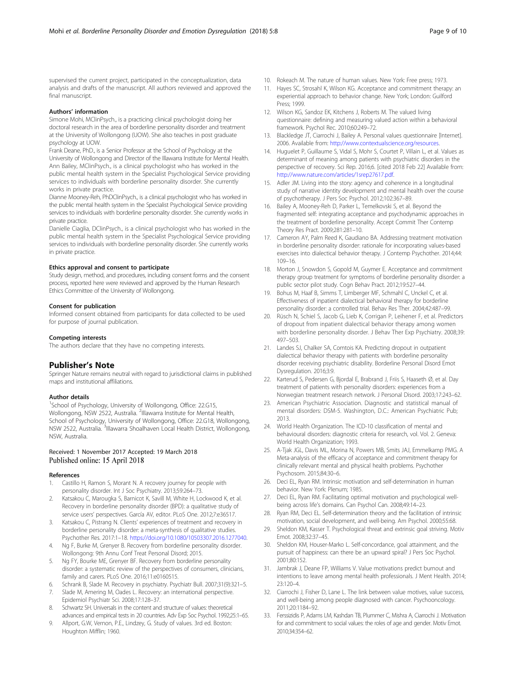<span id="page-8-0"></span>supervised the current project, participated in the conceptualization, data analysis and drafts of the manuscript. All authors reviewed and approved the final manuscript.

#### Authors' information

Simone Mohi, MClinPsych., is a practicing clinical psychologist doing her doctoral research in the area of borderline personality disorder and treatment at the University of Wollongong (UOW). She also teaches in post graduate psychology at UOW.

Frank Deane, PhD., is a Senior Professor at the School of Psychology at the University of Wollongong and Director of the Illawarra Institute for Mental Health. Ann Bailey, MClinPsych., is a clinical psychologist who has worked in the public mental health system in the Specialist Psychological Service providing services to individuals with borderline personality disorder. She currently works in private practice.

Dianne Mooney-Reh, PhDClinPsych., is a clinical psychologist who has worked in the public mental health system in the Specialist Psychological Service providing services to individuals with borderline personality disorder. She currently works in private practice.

Danielle Ciaglia, DClinPsych., is a clinical psychologist who has worked in the public mental health system in the Specialist Psychological Service providing services to individuals with borderline personality disorder. She currently works in private practice.

#### Ethics approval and consent to participate

Study design, method, and procedures, including consent forms and the consent process, reported here were reviewed and approved by the Human Research Ethics Committee of the University of Wollongong.

### Consent for publication

Informed consent obtained from participants for data collected to be used for purpose of journal publication.

#### Competing interests

The authors declare that they have no competing interests.

## Publisher's Note

Springer Nature remains neutral with regard to jurisdictional claims in published maps and institutional affiliations.

#### Author details

<sup>1</sup>School of Psychology, University of Wollongong, Office: 22.G15, Wollongong, NSW 2522, Australia. <sup>2</sup>Illawarra Institute for Mental Health, School of Psychology, University of Wollongong, Office: 22.G18, Wollongong, NSW 2522, Australia. <sup>3</sup>Illawarra Shoalhaven Local Health District, Wollongong, NSW, Australia.

## Received: 1 November 2017 Accepted: 19 March 2018 Published online: 15 April 2018

#### References

- 1. Castillo H, Ramon S, Morant N. A recovery journey for people with personality disorder. Int J Soc Psychiatry. 2013;59:264–73.
- 2. Katsakou C, Marougka S, Barnicot K, Savill M, White H, Lockwood K, et al. Recovery in borderline personality disorder (BPD): a qualitative study of service users' perspectives. García AV, editor. PLoS One. 2012;7:e36517.
- 3. Katsakou C, Pistrang N. Clients' experiences of treatment and recovery in borderline personality disorder: a meta-synthesis of qualitative studies. Psychother Res. 2017:1–18. <https://doi.org/10.1080/10503307.2016.1277040>.
- 4. Ng F, Burke M, Grenyer B. Recovery from borderline personality disorder. Wollongong: 9th Annu Conf Treat Personal Disord; 2015.
- 5. Ng FY, Bourke ME, Grenyer BF. Recovery from borderline personality disorder: a systematic review of the perspectives of consumers, clinicians, family and carers. PLoS One. 2016;11:e0160515.
- 6. Schrank B, Slade M. Recovery in psychiatry. Psychiatr Bull. 2007;31(9):321–5.
- 7. Slade M, Amering M, Oades L. Recovery: an international perspective. Epidemiol Psychiatr Sci. 2008;17:128–37.
- 8. Schwartz SH. Universals in the content and structure of values: theoretical advances and empirical tests in 20 countries. Adv Exp Soc Psychol. 1992;25:1–65.
- Allport, G.W, Vernon, P.E., Lindzey, G. Study of values. 3rd ed. Boston: Houghton Mifflin; 1960.
- 10. Rokeach M. The nature of human values. New York: Free press; 1973.
- 11. Hayes SC, Strosahl K, Wilson KG. Acceptance and commitment therapy: an experiential approach to behavior change. New York; London: Guilford Press; 1999.
- 12. Wilson KG, Sandoz EK, Kitchens J, Roberts M. The valued living questionnaire: defining and measuring valued action within a behavioral framework. Psychol Rec. 2010;60:249–72.
- 13. Blackledge JT, Ciarrochi J, Bailey A. Personal values questionnaire [Internet]. 2006. Available from: [http://www.contextualscience.org/resources.](http://www.contextualscience.org/resources)
- 14. Huguelet P, Guillaume S, Vidal S, Mohr S, Courtet P, Villain L, et al. Values as determinant of meaning among patients with psychiatric disorders in the perspective of recovery. Sci Rep. 2016;6. [cited 2018 Feb 22] Available from: [http://www.nature.com/articles/1srep27617.pdf](http://www.nature.com/articles/srep27617.pdf).
- 15. Adler JM. Living into the story: agency and coherence in a longitudinal study of narrative identity development and mental health over the course of psychotherapy. J Pers Soc Psychol. 2012;102:367–89.
- 16. Bailey A, Mooney-Reh D, Parker L, Temelkovski S, et al. Beyond the fragmented self: integrating acceptance and psychodynamic approaches in the treatment of borderline personality. Accept Commit Ther Contemp Theory Res Pract. 2009;281:281–10.
- 17. Cameron AY, Palm Reed K, Gaudiano BA. Addressing treatment motivation in borderline personality disorder: rationale for incorporating values-based exercises into dialectical behavior therapy. J Contemp Psychother. 2014;44: 109–16.
- 18. Morton J, Snowdon S, Gopold M, Guymer E. Acceptance and commitment therapy group treatment for symptoms of borderline personality disorder: a public sector pilot study. Cogn Behav Pract. 2012;19:527–44.
- 19. Bohus M, Haaf B, Simms T, Limberger MF, Schmahl C, Unckel C, et al. Effectiveness of inpatient dialectical behavioral therapy for borderline personality disorder: a controlled trial. Behav Res Ther. 2004;42:487–99.
- 20. Rüsch N, Schiel S, Jacob G, Lieb K, Corrigan P, Leihener F, et al. Predictors of dropout from inpatient dialectical behavior therapy among women with borderline personality disorder. J Behav Ther Exp Psychiatry. 2008;39: 497–503.
- 21. Landes SJ, Chalker SA, Comtois KA. Predicting dropout in outpatient dialectical behavior therapy with patients with borderline personality disorder receiving psychiatric disability. Borderline Personal Disord Emot Dysregulation. 2016;3:9.
- 22. Karterud S, Pedersen G, Bjordal E, Brabrand J, Friis S, Haaseth Ø, et al. Day treatment of patients with personality disorders: experiences from a Norwegian treatment research network. J Personal Disord. 2003;17:243–62.
- 23. American Psychiatric Association. Diagnostic and statistical manual of mental disorders: DSM-5. Washington, D.C.: American Psychiatric Pub; 2013.
- 24. World Health Organization. The ICD-10 classification of mental and behavioural disorders: diagnostic criteria for research, vol. Vol. 2. Geneva: World Health Organization; 1993.
- 25. A-Tjak JGL, Davis ML, Morina N, Powers MB, Smits JAJ, Emmelkamp PMG. A Meta-analysis of the efficacy of acceptance and commitment therapy for clinically relevant mental and physical health problems. Psychother Psychosom. 2015;84:30–6.
- 26. Deci EL, Ryan RM. Intrinsic motivation and self-determination in human behavior. New York: Plenum; 1985.
- 27. Deci EL, Ryan RM. Facilitating optimal motivation and psychological wellbeing across life's domains. Can Psychol Can. 2008;49:14–23.
- 28. Ryan RM, Deci EL. Self-determination theory and the facilitation of intrinsic motivation, social development, and well-being. Am Psychol. 2000;55:68.
- 29. Sheldon KM, Kasser T. Psychological threat and extrinsic goal striving. Motiv Emot. 2008;32:37–45.
- 30. Sheldon KM, Houser-Marko L. Self-concordance, goal attainment, and the pursuit of happiness: can there be an upward spiral? J Pers Soc Psychol. 2001;80:152.
- 31. Jambrak J, Deane FP, Williams V. Value motivations predict burnout and intentions to leave among mental health professionals. J Ment Health. 2014; 23:120–4.
- 32. Ciarrochi J, Fisher D, Lane L. The link between value motives, value success, and well-being among people diagnosed with cancer. Psychooncology. 2011;20:1184–92.
- 33. Ferssizidis P, Adams LM, Kashdan TB, Plummer C, Mishra A, Ciarrochi J. Motivation for and commitment to social values: the roles of age and gender. Motiv Emot. 2010;34:354–62.